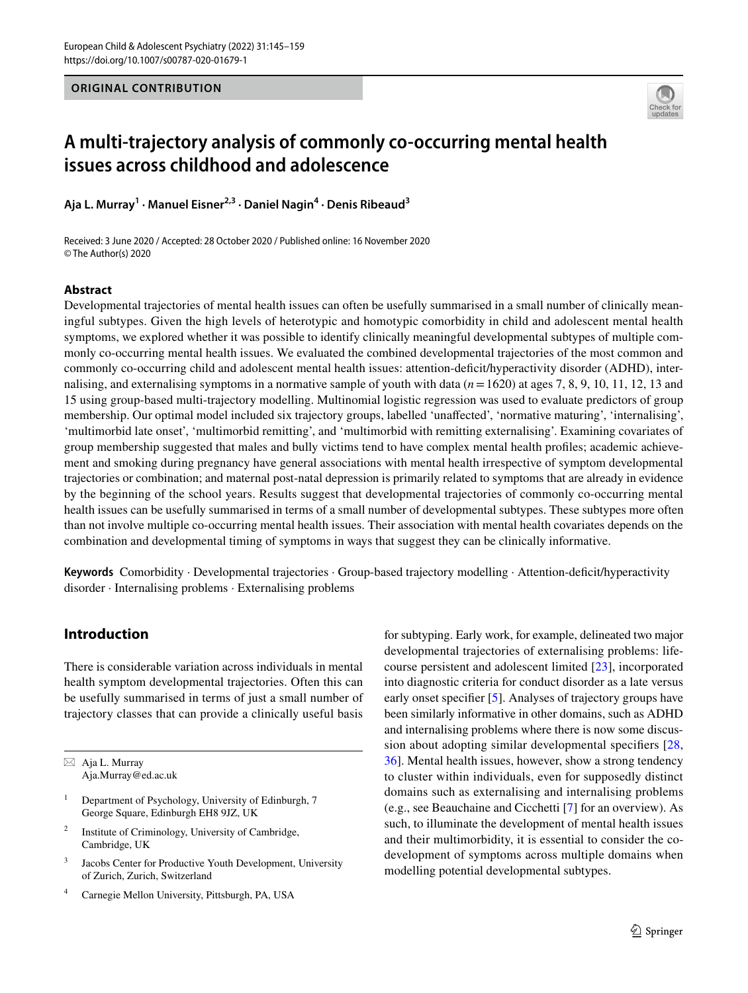## **ORIGINAL CONTRIBUTION**



# **A multi‑trajectory analysis of commonly co‑occurring mental health issues across childhood and adolescence**

**Aja L. Murray<sup>1</sup> · Manuel Eisner2,3 · Daniel Nagin4 · Denis Ribeaud3**

Received: 3 June 2020 / Accepted: 28 October 2020 / Published online: 16 November 2020 © The Author(s) 2020

## **Abstract**

Developmental trajectories of mental health issues can often be usefully summarised in a small number of clinically meaningful subtypes. Given the high levels of heterotypic and homotypic comorbidity in child and adolescent mental health symptoms, we explored whether it was possible to identify clinically meaningful developmental subtypes of multiple commonly co-occurring mental health issues. We evaluated the combined developmental trajectories of the most common and commonly co-occurring child and adolescent mental health issues: attention-defcit/hyperactivity disorder (ADHD), internalising, and externalising symptoms in a normative sample of youth with data  $(n=1620)$  at ages 7, 8, 9, 10, 11, 12, 13 and 15 using group-based multi-trajectory modelling. Multinomial logistic regression was used to evaluate predictors of group membership. Our optimal model included six trajectory groups, labelled 'unafected', 'normative maturing', 'internalising', 'multimorbid late onset', 'multimorbid remitting', and 'multimorbid with remitting externalising'. Examining covariates of group membership suggested that males and bully victims tend to have complex mental health profles; academic achievement and smoking during pregnancy have general associations with mental health irrespective of symptom developmental trajectories or combination; and maternal post-natal depression is primarily related to symptoms that are already in evidence by the beginning of the school years. Results suggest that developmental trajectories of commonly co-occurring mental health issues can be usefully summarised in terms of a small number of developmental subtypes. These subtypes more often than not involve multiple co-occurring mental health issues. Their association with mental health covariates depends on the combination and developmental timing of symptoms in ways that suggest they can be clinically informative.

Keywords Comorbidity · Developmental trajectories · Group-based trajectory modelling · Attention-deficit/hyperactivity disorder · Internalising problems · Externalising problems

# **Introduction**

There is considerable variation across individuals in mental health symptom developmental trajectories. Often this can be usefully summarised in terms of just a small number of trajectory classes that can provide a clinically useful basis

- <sup>1</sup> Department of Psychology, University of Edinburgh, 7 George Square, Edinburgh EH8 9JZ, UK
- <sup>2</sup> Institute of Criminology, University of Cambridge, Cambridge, UK
- <sup>3</sup> Jacobs Center for Productive Youth Development, University of Zurich, Zurich, Switzerland
- Carnegie Mellon University, Pittsburgh, PA, USA

for subtyping. Early work, for example, delineated two major developmental trajectories of externalising problems: lifecourse persistent and adolescent limited [\[23](#page-14-0)], incorporated into diagnostic criteria for conduct disorder as a late versus early onset specifer [[5\]](#page-13-0). Analyses of trajectory groups have been similarly informative in other domains, such as ADHD and internalising problems where there is now some discussion about adopting similar developmental specifers [\[28,](#page-14-1) [36](#page-14-2)]. Mental health issues, however, show a strong tendency to cluster within individuals, even for supposedly distinct domains such as externalising and internalising problems (e.g., see Beauchaine and Cicchetti [[7\]](#page-13-1) for an overview). As such, to illuminate the development of mental health issues and their multimorbidity, it is essential to consider the codevelopment of symptoms across multiple domains when modelling potential developmental subtypes.

 $\boxtimes$  Aja L. Murray Aja.Murray@ed.ac.uk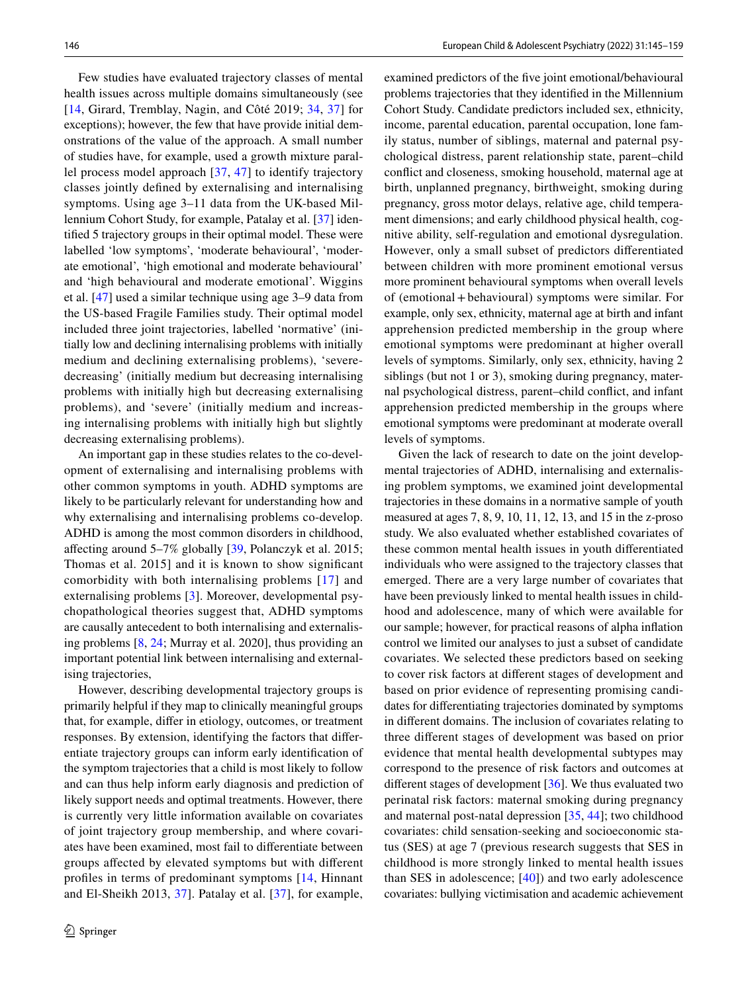Few studies have evaluated trajectory classes of mental health issues across multiple domains simultaneously (see [\[14,](#page-14-3) Girard, Tremblay, Nagin, and Côté 2019; [34](#page-14-4), [37](#page-14-5)] for exceptions); however, the few that have provide initial demonstrations of the value of the approach. A small number of studies have, for example, used a growth mixture parallel process model approach [[37](#page-14-5), [47\]](#page-14-6) to identify trajectory classes jointly defned by externalising and internalising symptoms. Using age 3–11 data from the UK-based Millennium Cohort Study, for example, Patalay et al. [[37\]](#page-14-5) identifed 5 trajectory groups in their optimal model. These were labelled 'low symptoms', 'moderate behavioural', 'moderate emotional', 'high emotional and moderate behavioural' and 'high behavioural and moderate emotional'. Wiggins et al. [\[47](#page-14-6)] used a similar technique using age 3–9 data from the US-based Fragile Families study. Their optimal model included three joint trajectories, labelled 'normative' (initially low and declining internalising problems with initially medium and declining externalising problems), 'severedecreasing' (initially medium but decreasing internalising problems with initially high but decreasing externalising problems), and 'severe' (initially medium and increasing internalising problems with initially high but slightly decreasing externalising problems).

An important gap in these studies relates to the co-development of externalising and internalising problems with other common symptoms in youth. ADHD symptoms are likely to be particularly relevant for understanding how and why externalising and internalising problems co-develop. ADHD is among the most common disorders in childhood, afecting around 5–7% globally [[39](#page-14-7), Polanczyk et al. 2015; Thomas et al. 2015] and it is known to show signifcant comorbidity with both internalising problems [[17\]](#page-14-8) and externalising problems [[3\]](#page-13-2). Moreover, developmental psychopathological theories suggest that, ADHD symptoms are causally antecedent to both internalising and externalising problems [[8,](#page-13-3) [24](#page-14-9); Murray et al. 2020], thus providing an important potential link between internalising and externalising trajectories,

However, describing developmental trajectory groups is primarily helpful if they map to clinically meaningful groups that, for example, difer in etiology, outcomes, or treatment responses. By extension, identifying the factors that diferentiate trajectory groups can inform early identifcation of the symptom trajectories that a child is most likely to follow and can thus help inform early diagnosis and prediction of likely support needs and optimal treatments. However, there is currently very little information available on covariates of joint trajectory group membership, and where covariates have been examined, most fail to diferentiate between groups afected by elevated symptoms but with diferent profles in terms of predominant symptoms [[14,](#page-14-3) Hinnant and El-Sheikh 2013, [37](#page-14-5)]. Patalay et al. [[37](#page-14-5)], for example,

examined predictors of the fve joint emotional/behavioural problems trajectories that they identifed in the Millennium Cohort Study. Candidate predictors included sex, ethnicity, income, parental education, parental occupation, lone family status, number of siblings, maternal and paternal psychological distress, parent relationship state, parent–child confict and closeness, smoking household, maternal age at birth, unplanned pregnancy, birthweight, smoking during pregnancy, gross motor delays, relative age, child temperament dimensions; and early childhood physical health, cognitive ability, self-regulation and emotional dysregulation. However, only a small subset of predictors diferentiated between children with more prominent emotional versus more prominent behavioural symptoms when overall levels of (emotional+behavioural) symptoms were similar. For example, only sex, ethnicity, maternal age at birth and infant apprehension predicted membership in the group where emotional symptoms were predominant at higher overall levels of symptoms. Similarly, only sex, ethnicity, having 2 siblings (but not 1 or 3), smoking during pregnancy, maternal psychological distress, parent–child confict, and infant apprehension predicted membership in the groups where emotional symptoms were predominant at moderate overall levels of symptoms.

Given the lack of research to date on the joint developmental trajectories of ADHD, internalising and externalising problem symptoms, we examined joint developmental trajectories in these domains in a normative sample of youth measured at ages 7, 8, 9, 10, 11, 12, 13, and 15 in the z-proso study. We also evaluated whether established covariates of these common mental health issues in youth diferentiated individuals who were assigned to the trajectory classes that emerged. There are a very large number of covariates that have been previously linked to mental health issues in childhood and adolescence, many of which were available for our sample; however, for practical reasons of alpha infation control we limited our analyses to just a subset of candidate covariates. We selected these predictors based on seeking to cover risk factors at diferent stages of development and based on prior evidence of representing promising candidates for diferentiating trajectories dominated by symptoms in diferent domains. The inclusion of covariates relating to three diferent stages of development was based on prior evidence that mental health developmental subtypes may correspond to the presence of risk factors and outcomes at diferent stages of development [\[36](#page-14-2)]. We thus evaluated two perinatal risk factors: maternal smoking during pregnancy and maternal post-natal depression [[35,](#page-14-10) [44\]](#page-14-11); two childhood covariates: child sensation-seeking and socioeconomic status (SES) at age 7 (previous research suggests that SES in childhood is more strongly linked to mental health issues than SES in adolescence; [\[40\]](#page-14-12)) and two early adolescence covariates: bullying victimisation and academic achievement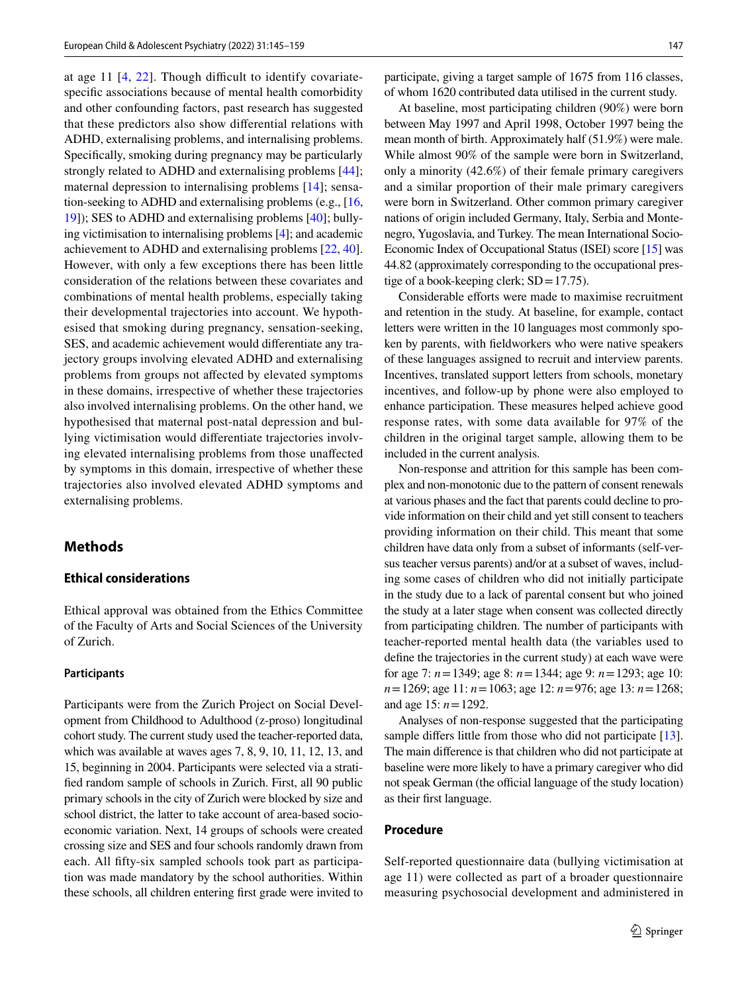at age 11  $[4, 22]$  $[4, 22]$  $[4, 22]$  $[4, 22]$ . Though difficult to identify covariatespecifc associations because of mental health comorbidity and other confounding factors, past research has suggested that these predictors also show diferential relations with ADHD, externalising problems, and internalising problems. Specifcally, smoking during pregnancy may be particularly strongly related to ADHD and externalising problems [[44\]](#page-14-11); maternal depression to internalising problems [[14\]](#page-14-3); sensation-seeking to ADHD and externalising problems (e.g., [[16,](#page-14-14) [19](#page-14-15)]); SES to ADHD and externalising problems [\[40](#page-14-12)]; bullying victimisation to internalising problems [\[4](#page-13-4)]; and academic achievement to ADHD and externalising problems [\[22](#page-14-13), [40](#page-14-12)]. However, with only a few exceptions there has been little consideration of the relations between these covariates and combinations of mental health problems, especially taking their developmental trajectories into account. We hypothesised that smoking during pregnancy, sensation-seeking, SES, and academic achievement would diferentiate any trajectory groups involving elevated ADHD and externalising problems from groups not afected by elevated symptoms in these domains, irrespective of whether these trajectories also involved internalising problems. On the other hand, we hypothesised that maternal post-natal depression and bullying victimisation would diferentiate trajectories involving elevated internalising problems from those unafected by symptoms in this domain, irrespective of whether these trajectories also involved elevated ADHD symptoms and externalising problems.

# **Methods**

## **Ethical considerations**

Ethical approval was obtained from the Ethics Committee of the Faculty of Arts and Social Sciences of the University of Zurich.

#### **Participants**

Participants were from the Zurich Project on Social Development from Childhood to Adulthood (z-proso) longitudinal cohort study. The current study used the teacher-reported data, which was available at waves ages 7, 8, 9, 10, 11, 12, 13, and 15, beginning in 2004. Participants were selected via a stratifed random sample of schools in Zurich. First, all 90 public primary schools in the city of Zurich were blocked by size and school district, the latter to take account of area-based socioeconomic variation. Next, 14 groups of schools were created crossing size and SES and four schools randomly drawn from each. All ffty-six sampled schools took part as participation was made mandatory by the school authorities. Within these schools, all children entering frst grade were invited to participate, giving a target sample of 1675 from 116 classes, of whom 1620 contributed data utilised in the current study.

At baseline, most participating children (90%) were born between May 1997 and April 1998, October 1997 being the mean month of birth. Approximately half (51.9%) were male. While almost 90% of the sample were born in Switzerland, only a minority (42.6%) of their female primary caregivers and a similar proportion of their male primary caregivers were born in Switzerland. Other common primary caregiver nations of origin included Germany, Italy, Serbia and Montenegro, Yugoslavia, and Turkey. The mean International Socio-Economic Index of Occupational Status (ISEI) score [\[15](#page-14-16)] was 44.82 (approximately corresponding to the occupational prestige of a book-keeping clerk;  $SD = 17.75$ ).

Considerable efforts were made to maximise recruitment and retention in the study. At baseline, for example, contact letters were written in the 10 languages most commonly spoken by parents, with feldworkers who were native speakers of these languages assigned to recruit and interview parents. Incentives, translated support letters from schools, monetary incentives, and follow-up by phone were also employed to enhance participation. These measures helped achieve good response rates, with some data available for 97% of the children in the original target sample, allowing them to be included in the current analysis.

Non-response and attrition for this sample has been complex and non-monotonic due to the pattern of consent renewals at various phases and the fact that parents could decline to provide information on their child and yet still consent to teachers providing information on their child. This meant that some children have data only from a subset of informants (self-versus teacher versus parents) and/or at a subset of waves, including some cases of children who did not initially participate in the study due to a lack of parental consent but who joined the study at a later stage when consent was collected directly from participating children. The number of participants with teacher-reported mental health data (the variables used to defne the trajectories in the current study) at each wave were for age 7: *n*=1349; age 8: *n*=1344; age 9: *n*=1293; age 10: *n*=1269; age 11: *n*=1063; age 12: *n*=976; age 13: *n*=1268; and age 15: *n*=1292.

Analyses of non-response suggested that the participating sample differs little from those who did not participate [[13](#page-13-5)]. The main diference is that children who did not participate at baseline were more likely to have a primary caregiver who did not speak German (the official language of the study location) as their frst language.

## **Procedure**

Self-reported questionnaire data (bullying victimisation at age 11) were collected as part of a broader questionnaire measuring psychosocial development and administered in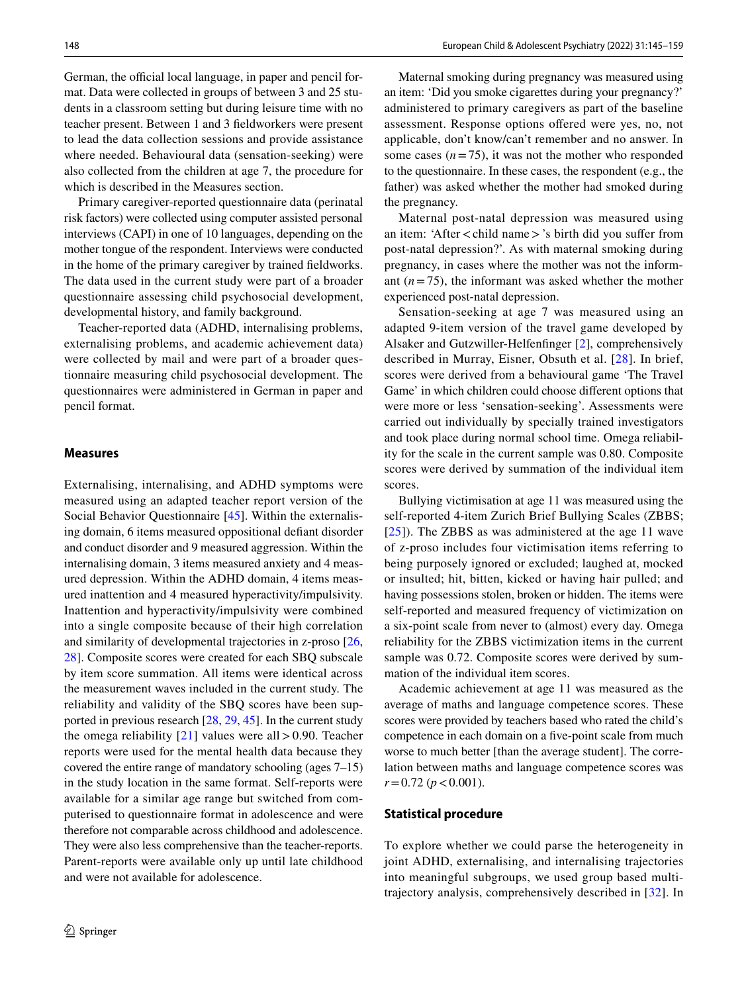German, the official local language, in paper and pencil format. Data were collected in groups of between 3 and 25 students in a classroom setting but during leisure time with no teacher present. Between 1 and 3 feldworkers were present to lead the data collection sessions and provide assistance where needed. Behavioural data (sensation-seeking) were also collected from the children at age 7, the procedure for which is described in the Measures section.

Primary caregiver-reported questionnaire data (perinatal risk factors) were collected using computer assisted personal interviews (CAPI) in one of 10 languages, depending on the mother tongue of the respondent. Interviews were conducted in the home of the primary caregiver by trained feldworks. The data used in the current study were part of a broader questionnaire assessing child psychosocial development, developmental history, and family background.

Teacher-reported data (ADHD, internalising problems, externalising problems, and academic achievement data) were collected by mail and were part of a broader questionnaire measuring child psychosocial development. The questionnaires were administered in German in paper and pencil format.

#### **Measures**

Externalising, internalising, and ADHD symptoms were measured using an adapted teacher report version of the Social Behavior Questionnaire [[45\]](#page-14-17). Within the externalising domain, 6 items measured oppositional defant disorder and conduct disorder and 9 measured aggression. Within the internalising domain, 3 items measured anxiety and 4 measured depression. Within the ADHD domain, 4 items measured inattention and 4 measured hyperactivity/impulsivity. Inattention and hyperactivity/impulsivity were combined into a single composite because of their high correlation and similarity of developmental trajectories in z-proso [[26,](#page-14-18) [28](#page-14-1)]. Composite scores were created for each SBQ subscale by item score summation. All items were identical across the measurement waves included in the current study. The reliability and validity of the SBQ scores have been supported in previous research [\[28](#page-14-1), [29,](#page-14-19) [45\]](#page-14-17). In the current study the omega reliability  $[21]$  $[21]$  $[21]$  values were all > 0.90. Teacher reports were used for the mental health data because they covered the entire range of mandatory schooling (ages 7–15) in the study location in the same format. Self-reports were available for a similar age range but switched from computerised to questionnaire format in adolescence and were therefore not comparable across childhood and adolescence. They were also less comprehensive than the teacher-reports. Parent-reports were available only up until late childhood and were not available for adolescence.

Maternal smoking during pregnancy was measured using an item: 'Did you smoke cigarettes during your pregnancy?' administered to primary caregivers as part of the baseline assessment. Response options ofered were yes, no, not applicable, don't know/can't remember and no answer. In some cases  $(n=75)$ , it was not the mother who responded to the questionnaire. In these cases, the respondent (e.g., the father) was asked whether the mother had smoked during the pregnancy.

Maternal post-natal depression was measured using an item: 'After<child name>'s birth did you sufer from post-natal depression?'. As with maternal smoking during pregnancy, in cases where the mother was not the informant  $(n=75)$ , the informant was asked whether the mother experienced post-natal depression.

Sensation-seeking at age 7 was measured using an adapted 9-item version of the travel game developed by Alsaker and Gutzwiller-Helfenfnger [[2\]](#page-13-6), comprehensively described in Murray, Eisner, Obsuth et al. [\[28\]](#page-14-1). In brief, scores were derived from a behavioural game 'The Travel Game' in which children could choose diferent options that were more or less 'sensation-seeking'. Assessments were carried out individually by specially trained investigators and took place during normal school time. Omega reliability for the scale in the current sample was 0.80. Composite scores were derived by summation of the individual item scores.

Bullying victimisation at age 11 was measured using the self-reported 4-item Zurich Brief Bullying Scales (ZBBS; [[25\]](#page-14-21)). The ZBBS as was administered at the age 11 wave of z-proso includes four victimisation items referring to being purposely ignored or excluded; laughed at, mocked or insulted; hit, bitten, kicked or having hair pulled; and having possessions stolen, broken or hidden. The items were self-reported and measured frequency of victimization on a six-point scale from never to (almost) every day. Omega reliability for the ZBBS victimization items in the current sample was 0.72. Composite scores were derived by summation of the individual item scores.

Academic achievement at age 11 was measured as the average of maths and language competence scores. These scores were provided by teachers based who rated the child's competence in each domain on a fve-point scale from much worse to much better [than the average student]. The correlation between maths and language competence scores was  $r=0.72$  ( $p < 0.001$ ).

#### **Statistical procedure**

To explore whether we could parse the heterogeneity in joint ADHD, externalising, and internalising trajectories into meaningful subgroups, we used group based multitrajectory analysis, comprehensively described in [[32\]](#page-14-22). In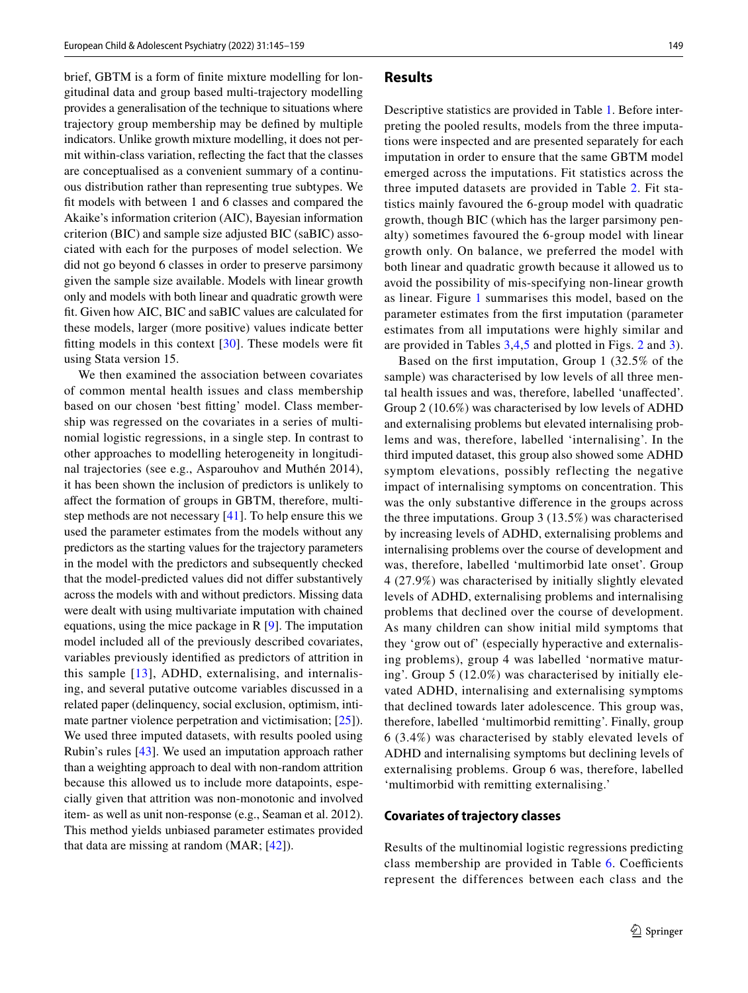brief, GBTM is a form of fnite mixture modelling for longitudinal data and group based multi-trajectory modelling provides a generalisation of the technique to situations where trajectory group membership may be defned by multiple indicators. Unlike growth mixture modelling, it does not permit within-class variation, refecting the fact that the classes are conceptualised as a convenient summary of a continuous distribution rather than representing true subtypes. We ft models with between 1 and 6 classes and compared the Akaike's information criterion (AIC), Bayesian information criterion (BIC) and sample size adjusted BIC (saBIC) associated with each for the purposes of model selection. We did not go beyond 6 classes in order to preserve parsimony given the sample size available. Models with linear growth only and models with both linear and quadratic growth were ft. Given how AIC, BIC and saBIC values are calculated for these models, larger (more positive) values indicate better fitting models in this context  $[30]$  $[30]$  $[30]$ . These models were fit using Stata version 15.

We then examined the association between covariates of common mental health issues and class membership based on our chosen 'best ftting' model. Class membership was regressed on the covariates in a series of multinomial logistic regressions, in a single step. In contrast to other approaches to modelling heterogeneity in longitudinal trajectories (see e.g., Asparouhov and Muthén 2014), it has been shown the inclusion of predictors is unlikely to afect the formation of groups in GBTM, therefore, multistep methods are not necessary [[41\]](#page-14-24). To help ensure this we used the parameter estimates from the models without any predictors as the starting values for the trajectory parameters in the model with the predictors and subsequently checked that the model-predicted values did not difer substantively across the models with and without predictors. Missing data were dealt with using multivariate imputation with chained equations, using the mice package in R [[9\]](#page-13-7). The imputation model included all of the previously described covariates, variables previously identifed as predictors of attrition in this sample [[13](#page-13-5)], ADHD, externalising, and internalising, and several putative outcome variables discussed in a related paper (delinquency, social exclusion, optimism, inti-mate partner violence perpetration and victimisation; [[25\]](#page-14-21)). We used three imputed datasets, with results pooled using Rubin's rules [[43\]](#page-14-25). We used an imputation approach rather than a weighting approach to deal with non-random attrition because this allowed us to include more datapoints, especially given that attrition was non-monotonic and involved item- as well as unit non-response (e.g., Seaman et al. 2012). This method yields unbiased parameter estimates provided that data are missing at random (MAR; [[42\]](#page-14-26)).

#### **Results**

Descriptive statistics are provided in Table [1.](#page-5-0) Before interpreting the pooled results, models from the three imputations were inspected and are presented separately for each imputation in order to ensure that the same GBTM model emerged across the imputations. Fit statistics across the three imputed datasets are provided in Table [2.](#page-6-0) Fit statistics mainly favoured the 6-group model with quadratic growth, though BIC (which has the larger parsimony penalty) sometimes favoured the 6-group model with linear growth only. On balance, we preferred the model with both linear and quadratic growth because it allowed us to avoid the possibility of mis-specifying non-linear growth as linear. Figure [1](#page-7-0) summarises this model, based on the parameter estimates from the frst imputation (parameter estimates from all imputations were highly similar and are provided in Tables [3,](#page-8-0)[4](#page-9-0),[5](#page-10-0) and plotted in Figs. [2](#page-11-0) and [3](#page-11-1)).

Based on the frst imputation, Group 1 (32.5% of the sample) was characterised by low levels of all three mental health issues and was, therefore, labelled 'unafected'. Group 2 (10.6%) was characterised by low levels of ADHD and externalising problems but elevated internalising problems and was, therefore, labelled 'internalising'. In the third imputed dataset, this group also showed some ADHD symptom elevations, possibly reflecting the negative impact of internalising symptoms on concentration. This was the only substantive diference in the groups across the three imputations. Group 3 (13.5%) was characterised by increasing levels of ADHD, externalising problems and internalising problems over the course of development and was, therefore, labelled 'multimorbid late onset'. Group 4 (27.9%) was characterised by initially slightly elevated levels of ADHD, externalising problems and internalising problems that declined over the course of development. As many children can show initial mild symptoms that they 'grow out of' (especially hyperactive and externalising problems), group 4 was labelled 'normative maturing'. Group 5 (12.0%) was characterised by initially elevated ADHD, internalising and externalising symptoms that declined towards later adolescence. This group was, therefore, labelled 'multimorbid remitting'. Finally, group 6 (3.4%) was characterised by stably elevated levels of ADHD and internalising symptoms but declining levels of externalising problems. Group 6 was, therefore, labelled 'multimorbid with remitting externalising.'

#### **Covariates of trajectory classes**

Results of the multinomial logistic regressions predicting class membership are provided in Table  $6$ . Coefficients represent the differences between each class and the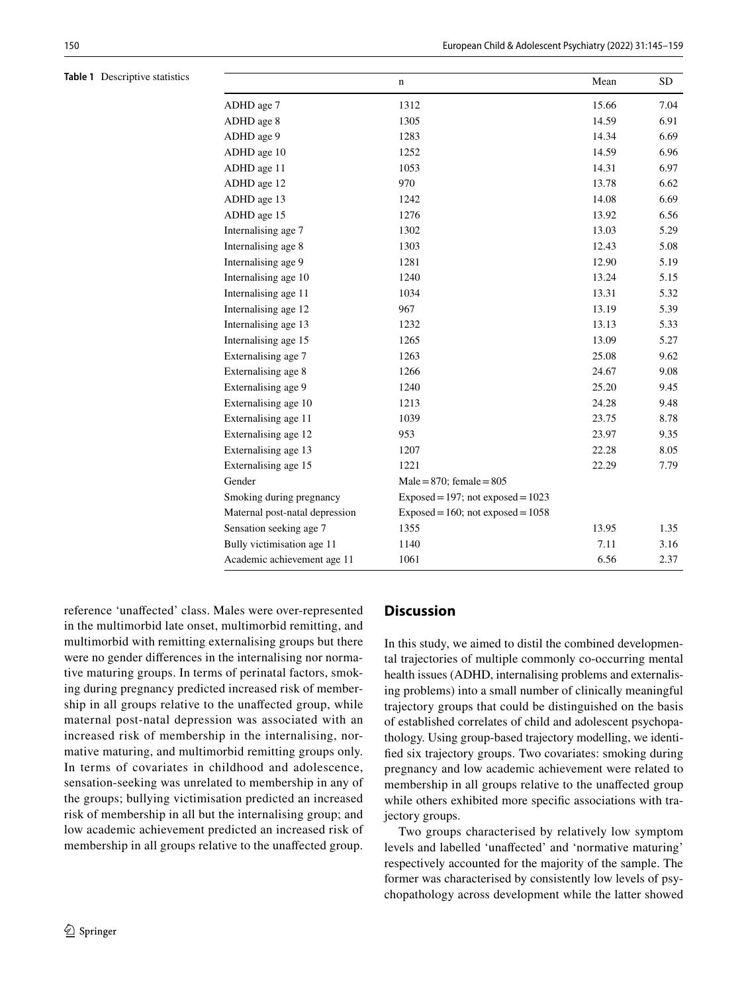<span id="page-5-0"></span>**Table 1** Descriptive statistics

|                                | $\mathbf n$                          | Mean  | <b>SD</b> |
|--------------------------------|--------------------------------------|-------|-----------|
| ADHD age 7                     | 1312                                 | 15.66 | 7.04      |
| ADHD age 8                     | 1305                                 | 14.59 | 6.91      |
| ADHD age 9                     | 1283                                 | 14.34 | 6.69      |
| ADHD age 10                    | 1252                                 | 14.59 | 6.96      |
| ADHD age 11                    | 1053                                 | 14.31 | 6.97      |
| ADHD age 12                    | 970                                  | 13.78 | 6.62      |
| ADHD age 13                    | 1242                                 | 14.08 | 6.69      |
| ADHD age 15                    | 1276                                 | 13.92 | 6.56      |
| Internalising age 7            | 1302                                 | 13.03 | 5.29      |
| Internalising age 8            | 1303                                 | 12.43 | 5.08      |
| Internalising age 9            | 1281                                 | 12.90 | 5.19      |
| Internalising age 10           | 1240                                 | 13.24 | 5.15      |
| Internalising age 11           | 1034                                 | 13.31 | 5.32      |
| Internalising age 12           | 967                                  | 13.19 | 5.39      |
| Internalising age 13           | 1232                                 | 13.13 | 5.33      |
| Internalising age 15           | 1265                                 | 13.09 | 5.27      |
| Externalising age 7            | 1263                                 | 25.08 | 9.62      |
| Externalising age 8            | 1266                                 | 24.67 | 9.08      |
| Externalising age 9            | 1240                                 | 25.20 | 9.45      |
| Externalising age 10           | 1213                                 | 24.28 | 9.48      |
| Externalising age 11           | 1039                                 | 23.75 | 8.78      |
| Externalising age 12           | 953                                  | 23.97 | 9.35      |
| Externalising age 13           | 1207                                 | 22.28 | 8.05      |
| Externalising age 15           | 1221                                 | 22.29 | 7.79      |
| Gender                         | $Male = 870$ ; female = $805$        |       |           |
| Smoking during pregnancy       | $Exposed = 197$ ; not exposed = 1023 |       |           |
| Maternal post-natal depression | $Exposed = 160$ ; not exposed = 1058 |       |           |
| Sensation seeking age 7        | 1355                                 | 13.95 | 1.35      |
| Bully victimisation age 11     | 1140                                 | 7.11  | 3.16      |
| Academic achievement age 11    | 1061                                 | 6.56  | 2.37      |

reference 'unafected' class. Males were over-represented in the multimorbid late onset, multimorbid remitting, and multimorbid with remitting externalising groups but there were no gender diferences in the internalising nor normative maturing groups. In terms of perinatal factors, smoking during pregnancy predicted increased risk of membership in all groups relative to the unafected group, while maternal post-natal depression was associated with an increased risk of membership in the internalising, normative maturing, and multimorbid remitting groups only. In terms of covariates in childhood and adolescence, sensation-seeking was unrelated to membership in any of the groups; bullying victimisation predicted an increased risk of membership in all but the internalising group; and low academic achievement predicted an increased risk of membership in all groups relative to the unafected group.

## **Discussion**

In this study, we aimed to distil the combined developmental trajectories of multiple commonly co-occurring mental health issues (ADHD, internalising problems and externalising problems) into a small number of clinically meaningful trajectory groups that could be distinguished on the basis of established correlates of child and adolescent psychopathology. Using group-based trajectory modelling, we identifed six trajectory groups. Two covariates: smoking during pregnancy and low academic achievement were related to membership in all groups relative to the unafected group while others exhibited more specifc associations with trajectory groups.

Two groups characterised by relatively low symptom levels and labelled 'unafected' and 'normative maturing' respectively accounted for the majority of the sample. The former was characterised by consistently low levels of psychopathology across development while the latter showed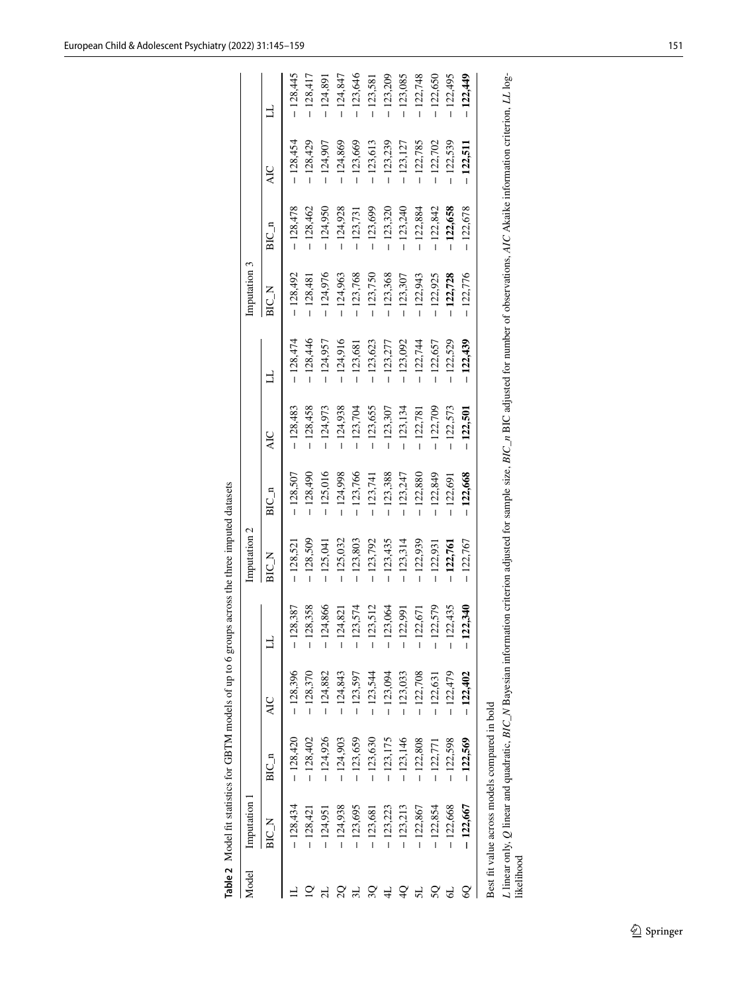|       |            | Table 2 Model fit statistics for GBTM models of up to 6 groups across the three imputed datasets |            |                          |              |            |            |            |              |            |            |            |
|-------|------------|--------------------------------------------------------------------------------------------------|------------|--------------------------|--------------|------------|------------|------------|--------------|------------|------------|------------|
| Model | mputation  |                                                                                                  |            |                          | Imputation 2 |            |            |            | Imputation 3 |            |            |            |
|       | BIC_N      | $BIC_n$                                                                                          | AIC        |                          |              | $BIC_n$    | 4C<br>R    |            | N DIB        | BIC n      | <b>AIC</b> |            |
|       | $-128,434$ | $-128,420$                                                                                       | $-128.396$ | 28,387                   | 128,52       | 128,507    | 128,483    | 128,474    | 128,492      | 128,478    | 128,454    | 128,445    |
|       | $-128,421$ | $-128,402$                                                                                       | $-128,370$ | 28,358<br>$\overline{1}$ | $-128,509$   | $-128,490$ | 128,458    | $-128,446$ | $-128,48$    | $-128,462$ | $-128,429$ | 128,417    |
|       | 124,951    | $-124,926$                                                                                       | $-124,882$ | 24,866                   | 125,04       | 125,016    | 124,973    | 124,957    | $-124,976$   | 124,950    | $-124,907$ | 124,891    |
|       | $-124,938$ | $-124,903$                                                                                       | $-124,843$ | 24,821                   | $-125.032$   | 124,998    | 124,938    | $-124,916$ | $-124,963$   | $-124,928$ | .124,869   | $-124,847$ |
|       | $-123,695$ | $-123,659$                                                                                       | $-123,597$ | 23,574<br>$\overline{1}$ | $-123,803$   | $-123,766$ | $-123,704$ | $-123,681$ | $-123,768$   | $-123,731$ | $-123,669$ | 123,646    |
|       | $-123,681$ | $-123,630$                                                                                       | $-123,544$ | 23,512                   | $-123,792$   | $-123,741$ | $-123,655$ | $-123,623$ | $-123,750$   | $-123,699$ | $-123,613$ | 123,581    |
|       | $-123,223$ | $-123,175$                                                                                       | $-123,094$ | 23,064<br>Ī              | $-123,435$   | 123,388    | $-123,307$ | $-123,277$ | $-123,368$   | $-123,320$ | $-123,239$ | $-123,209$ |
|       | $-123,213$ | $-123,146$                                                                                       | $-123,033$ | 22,991<br>$\overline{1}$ | $-123,314$   | $-123,247$ | $-123,134$ | $-123,092$ | $-123,307$   | $-123,240$ | $-123,127$ | 123,085    |
| 5L    | $-122,867$ | $-122,808$                                                                                       | $-122,708$ | 22,671                   | $-122,939$   | 122,880    | 122,781    | $-122,744$ | $-122,943$   | $-122,884$ | 122,785    | 122,748    |
| SQ    | $-122,854$ | $-122,771$                                                                                       | $-122,631$ | 22,579<br>I              | $-122,931$   | 122,849    | 122,709    | - 122,657  | $-122,925$   | $-122,842$ | 122,702    | 122,650    |
| ଟ     | $-122,668$ | $-122,598$                                                                                       | $-122,479$ | 22,435<br>$\overline{1}$ | $-122,761$   | 122,691    | 122,573    | $-122,529$ | $-122,728$   | $-122,658$ | 122,539    | 122,495    |
| 8     | $-122,667$ | $-122,569$                                                                                       | $-122,402$ | 12.340                   | $-122,767$   | $-122,668$ | $-122,501$ | $-122,439$ | $-122,776$   | $-122,678$ | $-122,511$ | $-122,449$ |

<span id="page-6-0"></span>Best fit value across models compared in bold Best ft value across models compared in bold

L linear only, Q linear and quadratic, BIC\_N Bayesian information criterion adjusted for sample size, BIC\_n BIC adjusted for number of observations, AIC Akaike information criterion, LL log-likelihood L linear only, Q linear and quadratic, BIC\_N Bayesian information criterion adjusted for sample size, BIC adjusted for number of observations, AIC Akaike information criterion, LL loglikelihood

 $\mathcal{D}$  Springer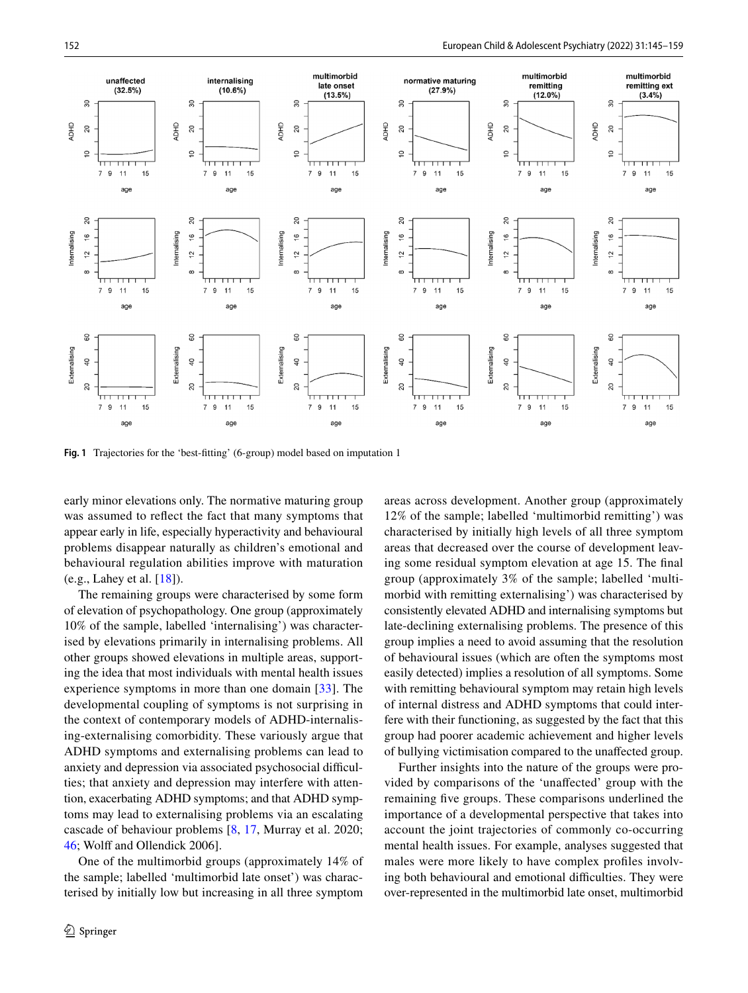

<span id="page-7-0"></span>**Fig. 1** Trajectories for the 'best-ftting' (6-group) model based on imputation 1

early minor elevations only. The normative maturing group was assumed to refect the fact that many symptoms that appear early in life, especially hyperactivity and behavioural problems disappear naturally as children's emotional and behavioural regulation abilities improve with maturation (e.g., Lahey et al. [[18\]](#page-14-27)).

The remaining groups were characterised by some form of elevation of psychopathology. One group (approximately 10% of the sample, labelled 'internalising') was characterised by elevations primarily in internalising problems. All other groups showed elevations in multiple areas, supporting the idea that most individuals with mental health issues experience symptoms in more than one domain [[33](#page-14-28)]. The developmental coupling of symptoms is not surprising in the context of contemporary models of ADHD-internalising-externalising comorbidity. These variously argue that ADHD symptoms and externalising problems can lead to anxiety and depression via associated psychosocial difficulties; that anxiety and depression may interfere with attention, exacerbating ADHD symptoms; and that ADHD symptoms may lead to externalising problems via an escalating cascade of behaviour problems [[8,](#page-13-3) [17,](#page-14-8) Murray et al. 2020; [46](#page-14-29); Wolff and Ollendick 2006].

One of the multimorbid groups (approximately 14% of the sample; labelled 'multimorbid late onset') was characterised by initially low but increasing in all three symptom areas across development. Another group (approximately 12% of the sample; labelled 'multimorbid remitting') was characterised by initially high levels of all three symptom areas that decreased over the course of development leaving some residual symptom elevation at age 15. The fnal group (approximately 3% of the sample; labelled 'multimorbid with remitting externalising') was characterised by consistently elevated ADHD and internalising symptoms but late-declining externalising problems. The presence of this group implies a need to avoid assuming that the resolution of behavioural issues (which are often the symptoms most easily detected) implies a resolution of all symptoms. Some with remitting behavioural symptom may retain high levels of internal distress and ADHD symptoms that could interfere with their functioning, as suggested by the fact that this group had poorer academic achievement and higher levels of bullying victimisation compared to the unafected group.

Further insights into the nature of the groups were provided by comparisons of the 'unafected' group with the remaining fve groups. These comparisons underlined the importance of a developmental perspective that takes into account the joint trajectories of commonly co-occurring mental health issues. For example, analyses suggested that males were more likely to have complex profles involving both behavioural and emotional difficulties. They were over-represented in the multimorbid late onset, multimorbid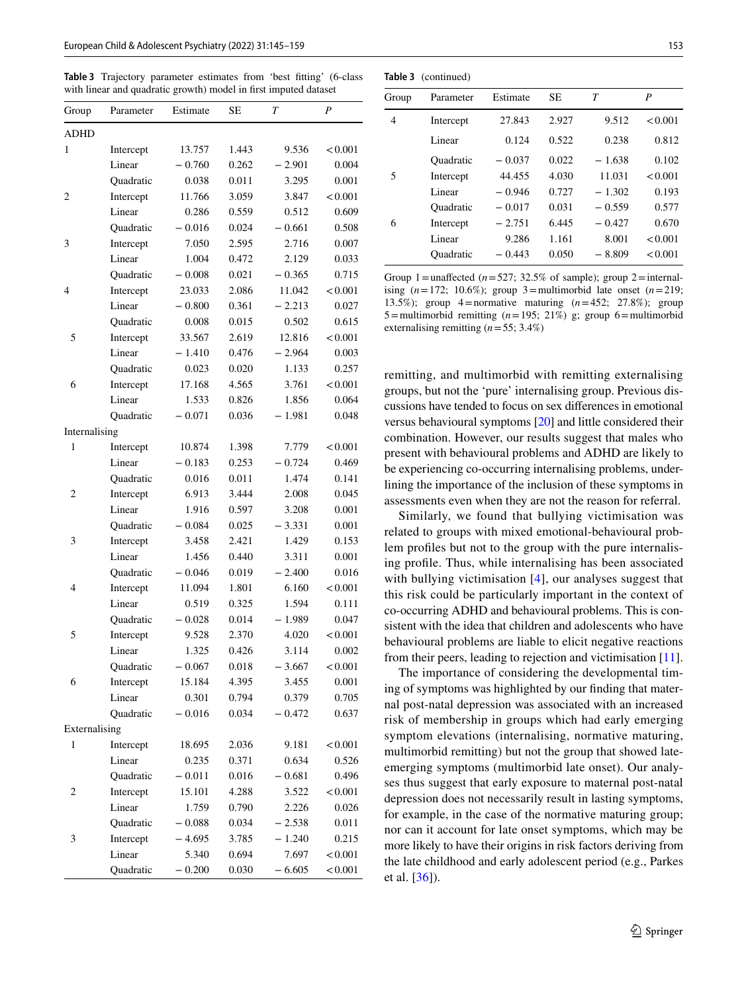<span id="page-8-0"></span>**Table 3** Trajectory parameter estimates from 'best ftting' (6-class with linear and quadratic growth) model in frst imputed dataset

| Group          | Parameter        | Estimate | SЕ    | T        | P       |
|----------------|------------------|----------|-------|----------|---------|
| <b>ADHD</b>    |                  |          |       |          |         |
| 1              | Intercept        | 13.757   | 1.443 | 9.536    | < 0.001 |
|                | Linear           | $-0.760$ | 0.262 | $-2.901$ | 0.004   |
|                | Quadratic        | 0.038    | 0.011 | 3.295    | 0.001   |
| 2              | Intercept        | 11.766   | 3.059 | 3.847    | < 0.001 |
|                | Linear           | 0.286    | 0.559 | 0.512    | 0.609   |
|                | Quadratic        | $-0.016$ | 0.024 | $-0.661$ | 0.508   |
| 3              | Intercept        | 7.050    | 2.595 | 2.716    | 0.007   |
|                | Linear           | 1.004    | 0.472 | 2.129    | 0.033   |
|                | Quadratic        | $-0.008$ | 0.021 | $-0.365$ | 0.715   |
| 4              | Intercept        | 23.033   | 2.086 | 11.042   | < 0.001 |
|                | Linear           | $-0.800$ | 0.361 | $-2.213$ | 0.027   |
|                | Quadratic        | 0.008    | 0.015 | 0.502    | 0.615   |
| 5              | Intercept        | 33.567   | 2.619 | 12.816   | < 0.001 |
|                | Linear           | $-1.410$ | 0.476 | $-2.964$ | 0.003   |
|                | Quadratic        | 0.023    | 0.020 | 1.133    | 0.257   |
| 6              | Intercept        | 17.168   | 4.565 | 3.761    | < 0.001 |
|                | Linear           | 1.533    | 0.826 | 1.856    | 0.064   |
|                | <b>Ouadratic</b> | $-0.071$ | 0.036 | $-1.981$ | 0.048   |
| Internalising  |                  |          |       |          |         |
| 1              | Intercept        | 10.874   | 1.398 | 7.779    | < 0.001 |
|                | Linear           | $-0.183$ | 0.253 | $-0.724$ | 0.469   |
|                | Quadratic        | 0.016    | 0.011 | 1.474    | 0.141   |
| 2              | Intercept        | 6.913    | 3.444 | 2.008    | 0.045   |
|                | Linear           | 1.916    | 0.597 | 3.208    | 0.001   |
|                | Quadratic        | $-0.084$ | 0.025 | $-3.331$ | 0.001   |
| 3              | Intercept        | 3.458    | 2.421 | 1.429    | 0.153   |
|                | Linear           | 1.456    | 0.440 | 3.311    | 0.001   |
|                | Quadratic        | $-0.046$ | 0.019 | $-2.400$ | 0.016   |
| 4              | Intercept        | 11.094   | 1.801 | 6.160    | < 0.001 |
|                | Linear           | 0.519    | 0.325 | 1.594    | 0.111   |
|                | Quadratic        | $-0.028$ | 0.014 | $-1.989$ | 0.047   |
| 5              | Intercept        | 9.528    | 2.370 | 4.020    | < 0.001 |
|                | Linear           | 1.325    | 0.426 | 3.114    | 0.002   |
|                | Quadratic        | $-0.067$ | 0.018 | $-3.667$ | < 0.001 |
| 6              | Intercept        | 15.184   | 4.395 | 3.455    | 0.001   |
|                | Linear           | 0.301    | 0.794 | 0.379    | 0.705   |
|                | <b>Ouadratic</b> | $-0.016$ | 0.034 | $-0.472$ | 0.637   |
| Externalising  |                  |          |       |          |         |
| 1              | Intercept        | 18.695   | 2.036 | 9.181    | < 0.001 |
|                | Linear           | 0.235    | 0.371 | 0.634    | 0.526   |
|                | Quadratic        | $-0.011$ | 0.016 | $-0.681$ | 0.496   |
| $\overline{c}$ | Intercept        | 15.101   | 4.288 | 3.522    | < 0.001 |
|                | Linear           | 1.759    | 0.790 | 2.226    | 0.026   |
|                | Quadratic        | $-0.088$ | 0.034 | $-2.538$ | 0.011   |
| 3              | Intercept        | $-4.695$ | 3.785 | $-1.240$ | 0.215   |
|                | Linear           | 5.340    | 0.694 | 7.697    | < 0.001 |
|                | Quadratic        | $-0.200$ | 0.030 | $-6.605$ | < 0.001 |

|       | Table 3 (continued) |          |           |          |         |
|-------|---------------------|----------|-----------|----------|---------|
| Group | Parameter           | Estimate | <b>SE</b> | T        | P       |
| 4     | Intercept           | 27.843   | 2.927     | 9.512    | < 0.001 |
|       | Linear              | 0.124    | 0.522     | 0.238    | 0.812   |
|       | Ouadratic           | $-0.037$ | 0.022     | $-1.638$ | 0.102   |
| 5     | Intercept           | 44.455   | 4.030     | 11.031   | < 0.001 |
|       | Linear              | $-0.946$ | 0.727     | $-1.302$ | 0.193   |
|       | Ouadratic           | $-0.017$ | 0.031     | $-0.559$ | 0.577   |
| 6     | Intercept           | $-2.751$ | 6.445     | $-0.427$ | 0.670   |
|       | Linear              | 9.286    | 1.161     | 8.001    | < 0.001 |
|       | <b>Quadratic</b>    | $-0.443$ | 0.050     | $-8.809$ | < 0.001 |
|       |                     |          |           |          |         |

Group 1=unaffected  $(n=527; 32.5\%$  of sample); group 2=internalising  $(n=172; 10.6\%)$ ; group 3=multimorbid late onset  $(n=219;$ 13.5%); group 4=normative maturing (*n*=452; 27.8%); group 5=multimorbid remitting  $(n=195; 21\%)$  g; group 6=multimorbid externalising remitting (*n*=55; 3.4%)

remitting, and multimorbid with remitting externalising groups, but not the 'pure' internalising group. Previous discussions have tended to focus on sex diferences in emotional versus behavioural symptoms [\[20](#page-14-30)] and little considered their combination. However, our results suggest that males who present with behavioural problems and ADHD are likely to be experiencing co-occurring internalising problems, underlining the importance of the inclusion of these symptoms in assessments even when they are not the reason for referral.

Similarly, we found that bullying victimisation was related to groups with mixed emotional-behavioural problem profles but not to the group with the pure internalising profle. Thus, while internalising has been associated with bullying victimisation [[4\]](#page-13-4), our analyses suggest that this risk could be particularly important in the context of co-occurring ADHD and behavioural problems. This is consistent with the idea that children and adolescents who have behavioural problems are liable to elicit negative reactions from their peers, leading to rejection and victimisation [\[11](#page-13-8)].

The importance of considering the developmental timing of symptoms was highlighted by our fnding that maternal post-natal depression was associated with an increased risk of membership in groups which had early emerging symptom elevations (internalising, normative maturing, multimorbid remitting) but not the group that showed lateemerging symptoms (multimorbid late onset). Our analyses thus suggest that early exposure to maternal post-natal depression does not necessarily result in lasting symptoms, for example, in the case of the normative maturing group; nor can it account for late onset symptoms, which may be more likely to have their origins in risk factors deriving from the late childhood and early adolescent period (e.g., Parkes et al. [\[36\]](#page-14-2)).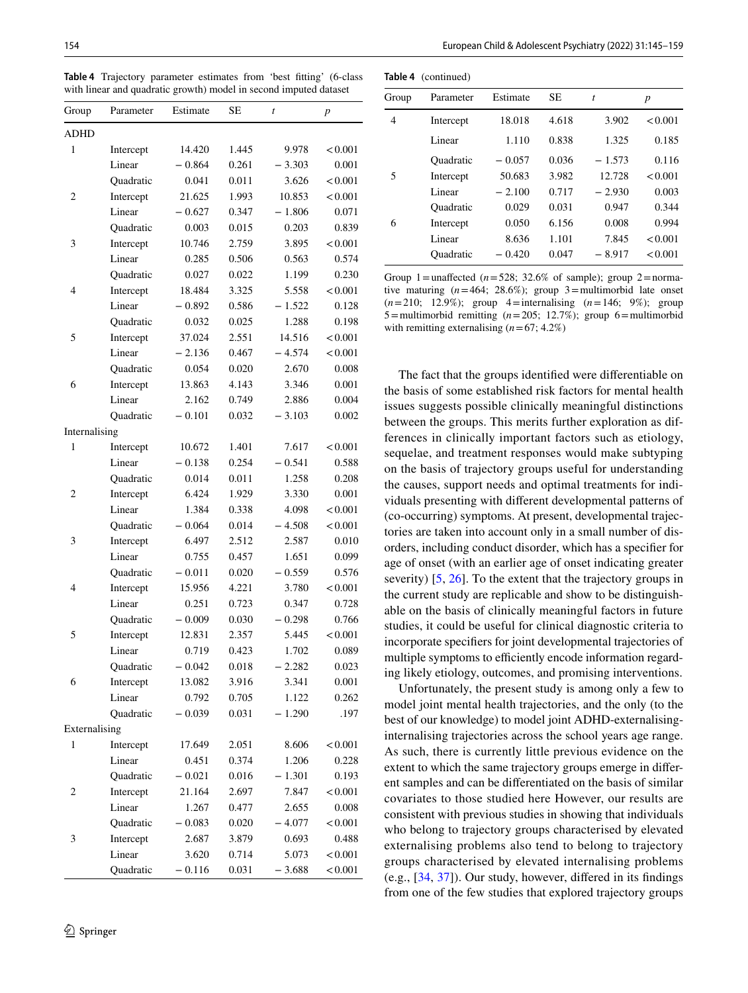| Group         | Parameter           | Estimate | SЕ    | $\bar{t}$ | $\boldsymbol{p}$ |
|---------------|---------------------|----------|-------|-----------|------------------|
| ADHD          |                     |          |       |           |                  |
| 1             | Intercept           | 14.420   | 1.445 | 9.978     | < 0.001          |
|               | Linear              | $-0.864$ | 0.261 | $-3.303$  | 0.001            |
|               | Quadratic           | 0.041    | 0.011 | 3.626     | < 0.001          |
| 2             | Intercept           | 21.625   | 1.993 | 10.853    | < 0.001          |
|               | Linear              | $-0.627$ | 0.347 | $-1.806$  | 0.071            |
|               | Quadratic           | 0.003    | 0.015 | 0.203     | 0.839            |
| 3             | Intercept           | 10.746   | 2.759 | 3.895     | < 0.001          |
|               | Linear              | 0.285    | 0.506 | 0.563     | 0.574            |
|               | <b>Ouadratic</b>    | 0.027    | 0.022 | 1.199     | 0.230            |
| 4             | Intercept           | 18.484   | 3.325 | 5.558     | < 0.001          |
|               | Linear              | $-0.892$ | 0.586 | $-1.522$  | 0.128            |
|               | Quadratic           | 0.032    | 0.025 | 1.288     | 0.198            |
| 5             | Intercept           | 37.024   | 2.551 | 14.516    | < 0.001          |
|               | Linear              | $-2.136$ | 0.467 | $-4.574$  | < 0.001          |
|               | <b>Ouadratic</b>    | 0.054    | 0.020 | 2.670     | 0.008            |
| 6             | Intercept           | 13.863   | 4.143 | 3.346     | 0.001            |
|               | Linear              | 2.162    | 0.749 | 2.886     | 0.004            |
|               | Quadratic           | $-0.101$ | 0.032 | $-3.103$  | 0.002            |
| Internalising |                     |          |       |           |                  |
| 1             | Intercept           | 10.672   | 1.401 | 7.617     | < 0.001          |
|               | Linear              | $-0.138$ | 0.254 | $-0.541$  | 0.588            |
|               | Quadratic           | 0.014    | 0.011 | 1.258     | 0.208            |
| 2             | Intercept           | 6.424    | 1.929 | 3.330     | 0.001            |
|               | Linear              | 1.384    | 0.338 | 4.098     | < 0.001          |
|               | Quadratic           | $-0.064$ | 0.014 | $-4.508$  | < 0.001          |
|               |                     | 6.497    | 2.512 | 2.587     | 0.010            |
| 3             | Intercept<br>Linear |          |       |           |                  |
|               |                     | 0.755    | 0.457 | 1.651     | 0.099            |
|               | Quadratic           | $-0.011$ | 0.020 | $-0.559$  | 0.576            |
| 4             | Intercept           | 15.956   | 4.221 | 3.780     | < 0.001          |
|               | Linear              | 0.251    | 0.723 | 0.347     | 0.728            |
|               | Quadratic           | $-0.009$ | 0.030 | $-0.298$  | 0.766            |
| 5             | Intercept           | 12.831   | 2.357 | 5.445     | < 0.001          |
|               | Linear              | 0.719    | 0.423 | 1.702     | 0.089            |
|               | Quadratic           | $-0.042$ | 0.018 | $-2.282$  | 0.023            |
| 6             | Intercept           | 13.082   | 3.916 | 3.341     | 0.001            |
|               | Linear              | 0.792    | 0.705 | 1.122     | 0.262            |
|               | <b>Ouadratic</b>    | $-0.039$ | 0.031 | $-1.290$  | .197             |
| Externalising |                     |          |       |           |                  |
| 1             | Intercept           | 17.649   | 2.051 | 8.606     | < 0.001          |
|               | Linear              | 0.451    | 0.374 | 1.206     | 0.228            |
|               | Quadratic           | $-0.021$ | 0.016 | $-1.301$  | 0.193            |
| 2             | Intercept           | 21.164   | 2.697 | 7.847     | < 0.001          |
|               | Linear              | 1.267    | 0.477 | 2.655     | 0.008            |
|               | Quadratic           | $-0.083$ | 0.020 | $-4.077$  | < 0.001          |
| 3             | Intercept           | 2.687    | 3.879 | 0.693     | 0.488            |
|               | Linear              | 3.620    | 0.714 | 5.073     | < 0.001          |
|               | Quadratic           | $-0.116$ | 0.031 | $-3.688$  | < 0.001          |

<span id="page-9-0"></span>**Table 4** Trajectory parameter estimates from 'best ftting' (6-class with linear and quadratic growth) model in second imputed dataset

|       | <b>Table 4</b> (continued) |          |           |          |         |
|-------|----------------------------|----------|-----------|----------|---------|
| Group | Parameter                  | Estimate | <b>SE</b> | t        | p       |
| 4     | Intercept                  | 18.018   | 4.618     | 3.902    | < 0.001 |
|       | Linear                     | 1.110    | 0.838     | 1.325    | 0.185   |
|       | Ouadratic                  | $-0.057$ | 0.036     | $-1.573$ | 0.116   |
| 5     | Intercept                  | 50.683   | 3.982     | 12.728   | < 0.001 |
|       | Linear                     | $-2.100$ | 0.717     | $-2.930$ | 0.003   |
|       | Ouadratic                  | 0.029    | 0.031     | 0.947    | 0.344   |
| 6     | Intercept                  | 0.050    | 6.156     | 0.008    | 0.994   |
|       | Linear                     | 8.636    | 1.101     | 7.845    | < 0.001 |
|       | Ouadratic                  | $-0.420$ | 0.047     | $-8.917$ | < 0.001 |

**Table 4** (continued)

Group 1=unaffected  $(n=528; 32.6\%$  of sample); group 2=normative maturing  $(n=464; 28.6\%)$ ; group 3=multimorbid late onset (*n*=210; 12.9%); group 4=internalising (*n*=146; 9%); group 5=multimorbid remitting (*n*=205; 12.7%); group 6=multimorbid with remitting externalising  $(n=67; 4.2\%)$ 

The fact that the groups identifed were diferentiable on the basis of some established risk factors for mental health issues suggests possible clinically meaningful distinctions between the groups. This merits further exploration as differences in clinically important factors such as etiology, sequelae, and treatment responses would make subtyping on the basis of trajectory groups useful for understanding the causes, support needs and optimal treatments for individuals presenting with diferent developmental patterns of (co-occurring) symptoms. At present, developmental trajectories are taken into account only in a small number of disorders, including conduct disorder, which has a specifer for age of onset (with an earlier age of onset indicating greater severity) [\[5](#page-13-0), [26\]](#page-14-18). To the extent that the trajectory groups in the current study are replicable and show to be distinguishable on the basis of clinically meaningful factors in future studies, it could be useful for clinical diagnostic criteria to incorporate specifers for joint developmental trajectories of multiple symptoms to efficiently encode information regarding likely etiology, outcomes, and promising interventions.

Unfortunately, the present study is among only a few to model joint mental health trajectories, and the only (to the best of our knowledge) to model joint ADHD-externalisinginternalising trajectories across the school years age range. As such, there is currently little previous evidence on the extent to which the same trajectory groups emerge in diferent samples and can be diferentiated on the basis of similar covariates to those studied here However, our results are consistent with previous studies in showing that individuals who belong to trajectory groups characterised by elevated externalising problems also tend to belong to trajectory groups characterised by elevated internalising problems (e.g., [[34,](#page-14-4) [37](#page-14-5)]). Our study, however, difered in its fndings from one of the few studies that explored trajectory groups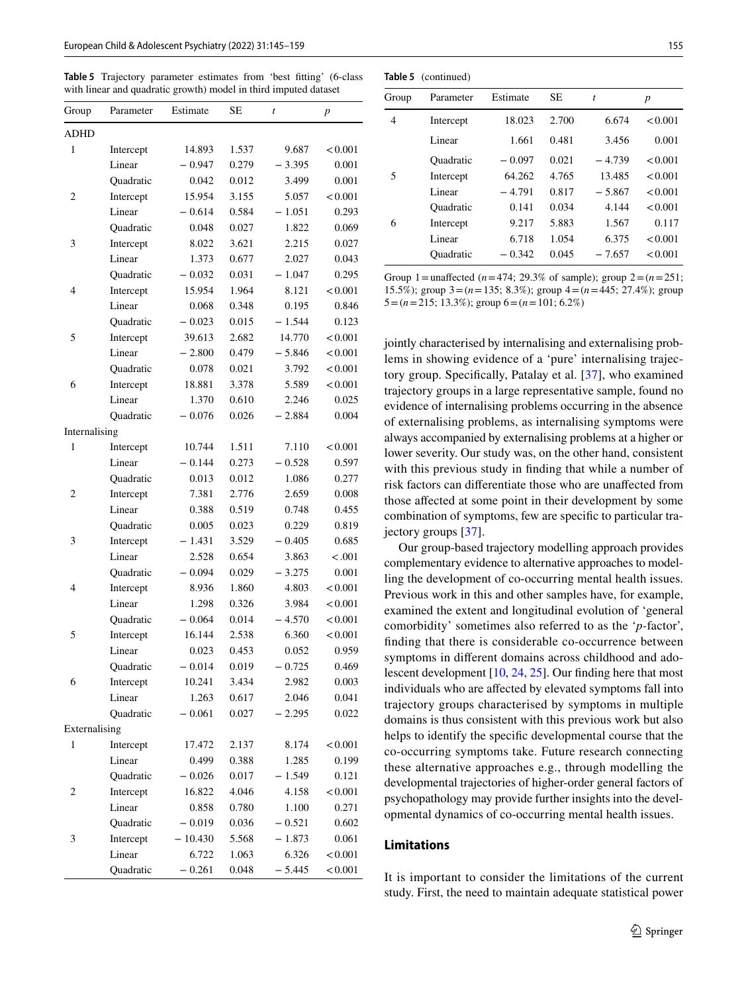<span id="page-10-0"></span>**Table 5** Trajectory parameter estimates from 'best ftting' (6-class with linear and quadratic growth) model in third imputed dataset

| Group         | Parameter        | Estimate  | SЕ    | t        | p       |
|---------------|------------------|-----------|-------|----------|---------|
| <b>ADHD</b>   |                  |           |       |          |         |
| 1             | Intercept        | 14.893    | 1.537 | 9.687    | < 0.001 |
|               | Linear           | $-0.947$  | 0.279 | $-3.395$ | 0.001   |
|               | Quadratic        | 0.042     | 0.012 | 3.499    | 0.001   |
| 2             | Intercept        | 15.954    | 3.155 | 5.057    | < 0.001 |
|               | Linear           | $-0.614$  | 0.584 | $-1.051$ | 0.293   |
|               | Quadratic        | 0.048     | 0.027 | 1.822    | 0.069   |
| 3             | Intercept        | 8.022     | 3.621 | 2.215    | 0.027   |
|               | Linear           | 1.373     | 0.677 | 2.027    | 0.043   |
|               | <b>Ouadratic</b> | $-0.032$  | 0.031 | $-1.047$ | 0.295   |
| 4             | Intercept        | 15.954    | 1.964 | 8.121    | < 0.001 |
|               | Linear           | 0.068     | 0.348 | 0.195    | 0.846   |
|               | Quadratic        | $-0.023$  | 0.015 | $-1.544$ | 0.123   |
| 5             | Intercept        | 39.613    | 2.682 | 14.770   | < 0.001 |
|               | Linear           | $-2.800$  | 0.479 | $-5.846$ | < 0.001 |
|               | Quadratic        | 0.078     | 0.021 | 3.792    | < 0.001 |
| 6             | Intercept        | 18.881    | 3.378 | 5.589    | < 0.001 |
|               | Linear           | 1.370     | 0.610 | 2.246    | 0.025   |
|               | Quadratic        | $-0.076$  | 0.026 | $-2.884$ | 0.004   |
| Internalising |                  |           |       |          |         |
| 1             | Intercept        | 10.744    | 1.511 | 7.110    | < 0.001 |
|               | Linear           | $-0.144$  | 0.273 | $-0.528$ | 0.597   |
|               | Quadratic        | 0.013     | 0.012 | 1.086    | 0.277   |
| 2             | Intercept        | 7.381     | 2.776 | 2.659    | 0.008   |
|               | Linear           | 0.388     | 0.519 | 0.748    | 0.455   |
|               | Quadratic        | 0.005     | 0.023 | 0.229    | 0.819   |
| 3             | Intercept        | $-1.431$  | 3.529 | $-0.405$ | 0.685   |
|               | Linear           | 2.528     | 0.654 | 3.863    | < .001  |
|               | Quadratic        | $-0.094$  | 0.029 | $-3.275$ | 0.001   |
| 4             | Intercept        | 8.936     | 1.860 | 4.803    | < 0.001 |
|               | Linear           | 1.298     | 0.326 | 3.984    | < 0.001 |
|               | Quadratic        | $-0.064$  | 0.014 | $-4.570$ | < 0.001 |
| 5             | Intercept        | 16.144    | 2.538 | 6.360    | < 0.001 |
|               | Linear           | 0.023     | 0.453 | 0.052    | 0.959   |
|               | Quadratic        | $-0.014$  | 0.019 | $-0.725$ | 0.469   |
| 6             | Intercept        | 10.241    | 3.434 | 2.982    | 0.003   |
|               | Linear           | 1.263     | 0.617 | 2.046    | 0.041   |
|               | Quadratic        | $-0.061$  | 0.027 | $-2.295$ | 0.022   |
| Externalising |                  |           |       |          |         |
| 1             | Intercept        | 17.472    | 2.137 | 8.174    | < 0.001 |
|               | Linear           | 0.499     | 0.388 | 1.285    | 0.199   |
|               | Quadratic        | $-0.026$  | 0.017 | $-1.549$ | 0.121   |
| 2             | Intercept        | 16.822    | 4.046 | 4.158    | < 0.001 |
|               | Linear           | 0.858     | 0.780 | 1.100    | 0.271   |
|               | <b>Ouadratic</b> | $-0.019$  | 0.036 | $-0.521$ | 0.602   |
| 3             | Intercept        | $-10.430$ | 5.568 | $-1.873$ | 0.061   |
|               | Linear           | 6.722     | 1.063 | 6.326    | < 0.001 |
|               | Quadratic        | $-0.261$  | 0.048 | $-5.445$ | < 0.001 |

| $i$ and $j$ (continued) |           |          |           |           |         |  |
|-------------------------|-----------|----------|-----------|-----------|---------|--|
| Group                   | Parameter | Estimate | <b>SE</b> | $\dot{t}$ | p       |  |
| 4                       | Intercept | 18.023   | 2.700     | 6.674     | < 0.001 |  |
|                         | Linear    | 1.661    | 0.481     | 3.456     | 0.001   |  |
|                         | Ouadratic | $-0.097$ | 0.021     | $-4.739$  | < 0.001 |  |
| 5                       | Intercept | 64.262   | 4.765     | 13.485    | < 0.001 |  |
|                         | Linear    | $-4.791$ | 0.817     | $-5.867$  | < 0.001 |  |
|                         | Ouadratic | 0.141    | 0.034     | 4.144     | < 0.001 |  |
| 6                       | Intercept | 9.217    | 5.883     | 1.567     | 0.117   |  |
|                         | Linear    | 6.718    | 1.054     | 6.375     | < 0.001 |  |
|                         | Ouadratic | $-0.342$ | 0.045     | $-7.657$  | < 0.001 |  |

**Table 5** (continued)

Group 1=unaffected  $(n=474; 29.3\%$  of sample); group  $2=(n=251;$ 15.5%); group 3=(*n*=135; 8.3%); group 4=(*n*=445; 27.4%); group 5=(*n*=215; 13.3%); group 6=(*n*=101; 6.2%)

jointly characterised by internalising and externalising problems in showing evidence of a 'pure' internalising trajectory group. Specifcally, Patalay et al. [[37](#page-14-5)], who examined trajectory groups in a large representative sample, found no evidence of internalising problems occurring in the absence of externalising problems, as internalising symptoms were always accompanied by externalising problems at a higher or lower severity. Our study was, on the other hand, consistent with this previous study in finding that while a number of risk factors can diferentiate those who are unafected from those afected at some point in their development by some combination of symptoms, few are specifc to particular trajectory groups [\[37](#page-14-5)].

Our group-based trajectory modelling approach provides complementary evidence to alternative approaches to modelling the development of co-occurring mental health issues. Previous work in this and other samples have, for example, examined the extent and longitudinal evolution of 'general comorbidity' sometimes also referred to as the '*p-*factor', fnding that there is considerable co-occurrence between symptoms in diferent domains across childhood and adolescent development [[10,](#page-13-9) [24](#page-14-9), [25](#page-14-21)]. Our fnding here that most individuals who are afected by elevated symptoms fall into trajectory groups characterised by symptoms in multiple domains is thus consistent with this previous work but also helps to identify the specifc developmental course that the co-occurring symptoms take. Future research connecting these alternative approaches e.g., through modelling the developmental trajectories of higher-order general factors of psychopathology may provide further insights into the developmental dynamics of co-occurring mental health issues.

## **Limitations**

It is important to consider the limitations of the current study. First, the need to maintain adequate statistical power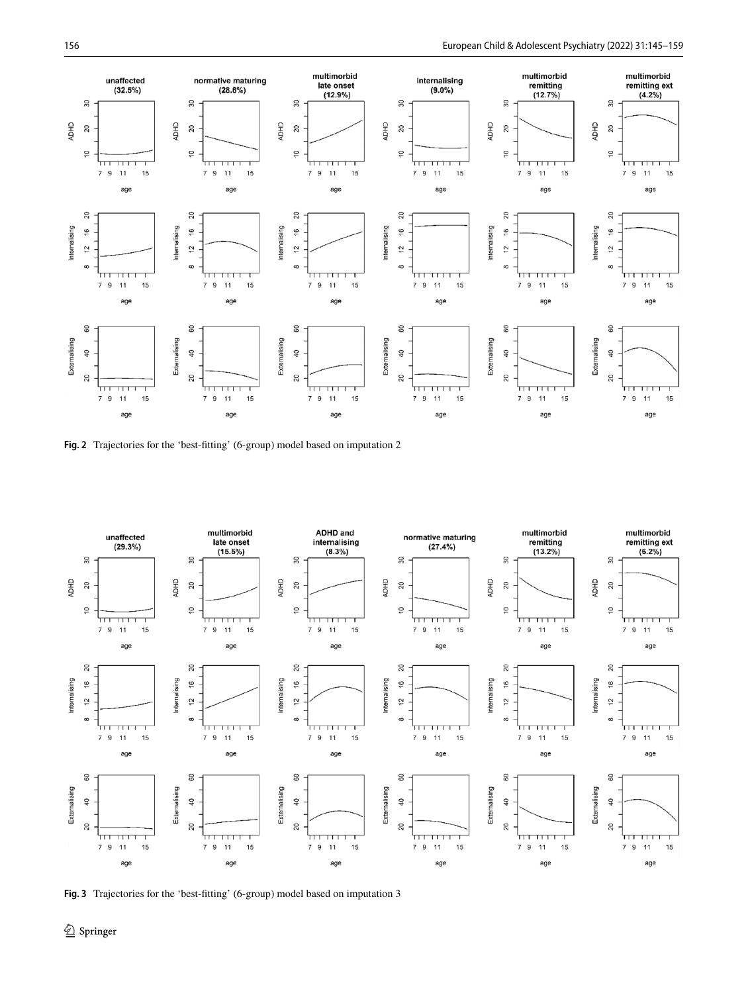

<span id="page-11-0"></span>**Fig. 2** Trajectories for the 'best-ftting' (6-group) model based on imputation 2



<span id="page-11-1"></span>**Fig. 3** Trajectories for the 'best-ftting' (6-group) model based on imputation 3

<sup>2</sup> Springer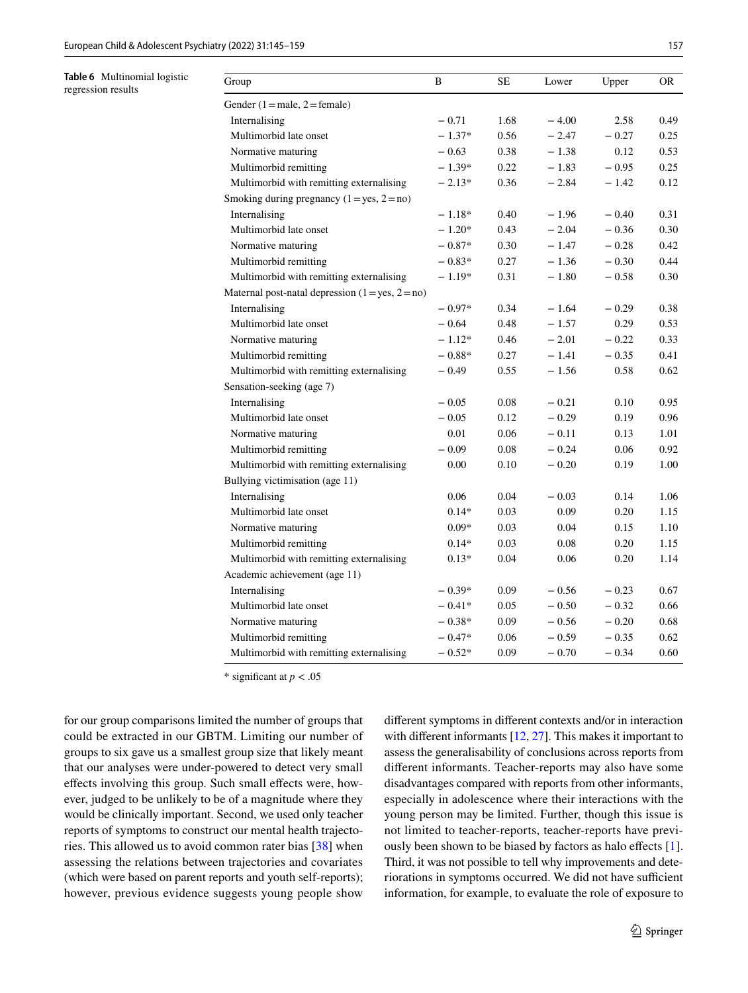<span id="page-12-0"></span>**Table 6** Multinomial logistic

regression results

| Group                                              | B        | SE   | Lower   | Upper   | OR.  |
|----------------------------------------------------|----------|------|---------|---------|------|
| Gender $(1 = male, 2 = female)$                    |          |      |         |         |      |
| Internalising                                      | $-0.71$  | 1.68 | $-4.00$ | 2.58    | 0.49 |
| Multimorbid late onset                             | $-1.37*$ | 0.56 | $-2.47$ | $-0.27$ | 0.25 |
| Normative maturing                                 | $-0.63$  | 0.38 | $-1.38$ | 0.12    | 0.53 |
| Multimorbid remitting                              | $-1.39*$ | 0.22 | $-1.83$ | $-0.95$ | 0.25 |
| Multimorbid with remitting externalising           | $-2.13*$ | 0.36 | $-2.84$ | $-1.42$ | 0.12 |
| Smoking during pregnancy $(1 = yes, 2 = no)$       |          |      |         |         |      |
| Internalising                                      | $-1.18*$ | 0.40 | $-1.96$ | $-0.40$ | 0.31 |
| Multimorbid late onset                             | $-1.20*$ | 0.43 | $-2.04$ | $-0.36$ | 0.30 |
| Normative maturing                                 | $-0.87*$ | 0.30 | $-1.47$ | $-0.28$ | 0.42 |
| Multimorbid remitting                              | $-0.83*$ | 0.27 | $-1.36$ | $-0.30$ | 0.44 |
| Multimorbid with remitting externalising           | $-1.19*$ | 0.31 | $-1.80$ | $-0.58$ | 0.30 |
| Maternal post-natal depression $(1 = yes, 2 = no)$ |          |      |         |         |      |
| Internalising                                      | $-0.97*$ | 0.34 | $-1.64$ | $-0.29$ | 0.38 |
| Multimorbid late onset                             | $-0.64$  | 0.48 | $-1.57$ | 0.29    | 0.53 |
| Normative maturing                                 | $-1.12*$ | 0.46 | $-2.01$ | $-0.22$ | 0.33 |
| Multimorbid remitting                              | $-0.88*$ | 0.27 | $-1.41$ | $-0.35$ | 0.41 |
| Multimorbid with remitting externalising           | $-0.49$  | 0.55 | $-1.56$ | 0.58    | 0.62 |
| Sensation-seeking (age 7)                          |          |      |         |         |      |
| Internalising                                      | $-0.05$  | 0.08 | $-0.21$ | 0.10    | 0.95 |
| Multimorbid late onset                             | $-0.05$  | 0.12 | $-0.29$ | 0.19    | 0.96 |
| Normative maturing                                 | 0.01     | 0.06 | $-0.11$ | 0.13    | 1.01 |
| Multimorbid remitting                              | $-0.09$  | 0.08 | $-0.24$ | 0.06    | 0.92 |
| Multimorbid with remitting externalising           | 0.00     | 0.10 | $-0.20$ | 0.19    | 1.00 |
| Bullying victimisation (age 11)                    |          |      |         |         |      |
| Internalising                                      | 0.06     | 0.04 | $-0.03$ | 0.14    | 1.06 |
| Multimorbid late onset                             | $0.14*$  | 0.03 | 0.09    | 0.20    | 1.15 |
| Normative maturing                                 | $0.09*$  | 0.03 | 0.04    | 0.15    | 1.10 |
| Multimorbid remitting                              | $0.14*$  | 0.03 | 0.08    | 0.20    | 1.15 |
| Multimorbid with remitting externalising           | $0.13*$  | 0.04 | 0.06    | 0.20    | 1.14 |
| Academic achievement (age 11)                      |          |      |         |         |      |
| Internalising                                      | $-0.39*$ | 0.09 | $-0.56$ | $-0.23$ | 0.67 |
| Multimorbid late onset                             | $-0.41*$ | 0.05 | $-0.50$ | $-0.32$ | 0.66 |
| Normative maturing                                 | $-0.38*$ | 0.09 | $-0.56$ | $-0.20$ | 0.68 |
| Multimorbid remitting                              | $-0.47*$ | 0.06 | $-0.59$ | $-0.35$ | 0.62 |
| Multimorbid with remitting externalising           | $-0.52*$ | 0.09 | $-0.70$ | $-0.34$ | 0.60 |

\* signifcant at *p* < .05

for our group comparisons limited the number of groups that could be extracted in our GBTM. Limiting our number of groups to six gave us a smallest group size that likely meant that our analyses were under-powered to detect very small efects involving this group. Such small efects were, however, judged to be unlikely to be of a magnitude where they would be clinically important. Second, we used only teacher reports of symptoms to construct our mental health trajectories. This allowed us to avoid common rater bias [\[38\]](#page-14-31) when assessing the relations between trajectories and covariates (which were based on parent reports and youth self-reports); however, previous evidence suggests young people show diferent symptoms in diferent contexts and/or in interaction with different informants [\[12](#page-13-10), [27\]](#page-14-32). This makes it important to assess the generalisability of conclusions across reports from diferent informants. Teacher-reports may also have some disadvantages compared with reports from other informants, especially in adolescence where their interactions with the young person may be limited. Further, though this issue is not limited to teacher-reports, teacher-reports have previously been shown to be biased by factors as halo efects [\[1](#page-13-11)]. Third, it was not possible to tell why improvements and deteriorations in symptoms occurred. We did not have sufficient information, for example, to evaluate the role of exposure to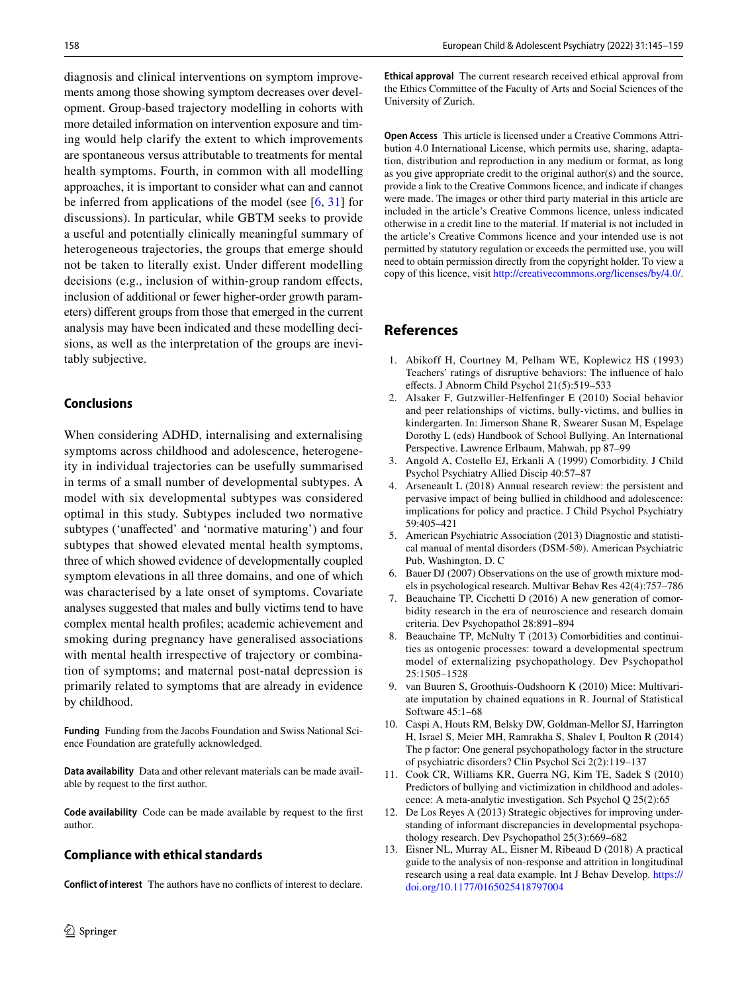diagnosis and clinical interventions on symptom improvements among those showing symptom decreases over development. Group-based trajectory modelling in cohorts with more detailed information on intervention exposure and timing would help clarify the extent to which improvements are spontaneous versus attributable to treatments for mental health symptoms. Fourth, in common with all modelling approaches, it is important to consider what can and cannot be inferred from applications of the model (see  $[6, 31]$  $[6, 31]$  $[6, 31]$  $[6, 31]$  $[6, 31]$  for discussions). In particular, while GBTM seeks to provide a useful and potentially clinically meaningful summary of heterogeneous trajectories, the groups that emerge should not be taken to literally exist. Under diferent modelling decisions (e.g., inclusion of within-group random effects, inclusion of additional or fewer higher-order growth parameters) diferent groups from those that emerged in the current analysis may have been indicated and these modelling decisions, as well as the interpretation of the groups are inevitably subjective.

## **Conclusions**

When considering ADHD, internalising and externalising symptoms across childhood and adolescence, heterogeneity in individual trajectories can be usefully summarised in terms of a small number of developmental subtypes. A model with six developmental subtypes was considered optimal in this study. Subtypes included two normative subtypes ('unafected' and 'normative maturing') and four subtypes that showed elevated mental health symptoms, three of which showed evidence of developmentally coupled symptom elevations in all three domains, and one of which was characterised by a late onset of symptoms. Covariate analyses suggested that males and bully victims tend to have complex mental health profles; academic achievement and smoking during pregnancy have generalised associations with mental health irrespective of trajectory or combination of symptoms; and maternal post-natal depression is primarily related to symptoms that are already in evidence by childhood.

**Funding** Funding from the Jacobs Foundation and Swiss National Science Foundation are gratefully acknowledged.

**Data availability** Data and other relevant materials can be made available by request to the frst author.

**Code availability** Code can be made available by request to the frst author.

### **Compliance with ethical standards**

**Conflict of interest** The authors have no conficts of interest to declare.

**Ethical approval** The current research received ethical approval from the Ethics Committee of the Faculty of Arts and Social Sciences of the University of Zurich.

**Open Access** This article is licensed under a Creative Commons Attribution 4.0 International License, which permits use, sharing, adaptation, distribution and reproduction in any medium or format, as long as you give appropriate credit to the original author(s) and the source, provide a link to the Creative Commons licence, and indicate if changes were made. The images or other third party material in this article are included in the article's Creative Commons licence, unless indicated otherwise in a credit line to the material. If material is not included in the article's Creative Commons licence and your intended use is not permitted by statutory regulation or exceeds the permitted use, you will need to obtain permission directly from the copyright holder. To view a copy of this licence, visit<http://creativecommons.org/licenses/by/4.0/>.

## **References**

- <span id="page-13-11"></span>1. Abikoff H, Courtney M, Pelham WE, Koplewicz HS (1993) Teachers' ratings of disruptive behaviors: The infuence of halo efects. J Abnorm Child Psychol 21(5):519–533
- <span id="page-13-6"></span>2. Alsaker F, Gutzwiller-Helfenfnger E (2010) Social behavior and peer relationships of victims, bully-victims, and bullies in kindergarten. In: Jimerson Shane R, Swearer Susan M, Espelage Dorothy L (eds) Handbook of School Bullying. An International Perspective. Lawrence Erlbaum, Mahwah, pp 87–99
- <span id="page-13-2"></span>3. Angold A, Costello EJ, Erkanli A (1999) Comorbidity. J Child Psychol Psychiatry Allied Discip 40:57–87
- <span id="page-13-4"></span>4. Arseneault L (2018) Annual research review: the persistent and pervasive impact of being bullied in childhood and adolescence: implications for policy and practice. J Child Psychol Psychiatry 59:405–421
- <span id="page-13-0"></span>5. American Psychiatric Association (2013) Diagnostic and statistical manual of mental disorders (DSM-5®). American Psychiatric Pub, Washington, D. C
- <span id="page-13-12"></span>6. Bauer DJ (2007) Observations on the use of growth mixture models in psychological research. Multivar Behav Res 42(4):757–786
- <span id="page-13-1"></span>7. Beauchaine TP, Cicchetti D (2016) A new generation of comorbidity research in the era of neuroscience and research domain criteria. Dev Psychopathol 28:891–894
- <span id="page-13-3"></span>8. Beauchaine TP, McNulty T (2013) Comorbidities and continuities as ontogenic processes: toward a developmental spectrum model of externalizing psychopathology. Dev Psychopathol 25:1505–1528
- <span id="page-13-7"></span>9. van Buuren S, Groothuis-Oudshoorn K (2010) Mice: Multivariate imputation by chained equations in R. Journal of Statistical Software 45:1–68
- <span id="page-13-9"></span>10. Caspi A, Houts RM, Belsky DW, Goldman-Mellor SJ, Harrington H, Israel S, Meier MH, Ramrakha S, Shalev I, Poulton R (2014) The p factor: One general psychopathology factor in the structure of psychiatric disorders? Clin Psychol Sci 2(2):119–137
- <span id="page-13-8"></span>11. Cook CR, Williams KR, Guerra NG, Kim TE, Sadek S (2010) Predictors of bullying and victimization in childhood and adolescence: A meta-analytic investigation. Sch Psychol Q 25(2):65
- <span id="page-13-10"></span>12. De Los Reyes A (2013) Strategic objectives for improving understanding of informant discrepancies in developmental psychopathology research. Dev Psychopathol 25(3):669–682
- <span id="page-13-5"></span>13. Eisner NL, Murray AL, Eisner M, Ribeaud D (2018) A practical guide to the analysis of non-response and attrition in longitudinal research using a real data example. Int J Behav Develop. [https://](https://doi.org/10.1177/0165025418797004) [doi.org/10.1177/0165025418797004](https://doi.org/10.1177/0165025418797004)